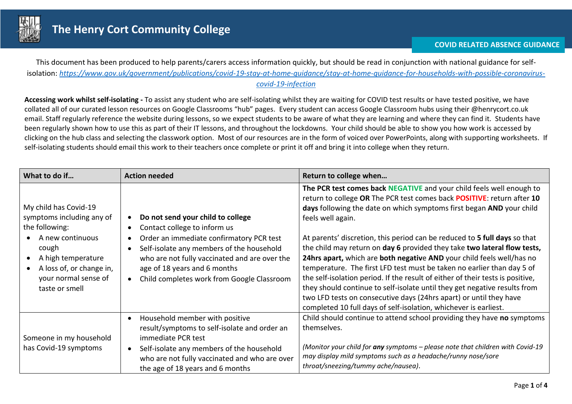

This document has been produced to help parents/carers access information quickly, but should be read in conjunction with national guidance for selfisolation: *[https://www.gov.uk/government/publications/covid-19-stay-at-home-guidance/stay-at-home-guidance-for-households-with-possible-coronavirus](https://www.gov.uk/government/publications/covid-19-stay-at-home-guidance/stay-at-home-guidance-for-households-with-possible-coronavirus-covid-19-infection)[covid-19-infection](https://www.gov.uk/government/publications/covid-19-stay-at-home-guidance/stay-at-home-guidance-for-households-with-possible-coronavirus-covid-19-infection)*

**Accessing work whilst self-isolating -** To assist any student who are self-isolating whilst they are waiting for COVID test results or have tested positive, we have collated all of our curated lesson resources on Google Classrooms "hub" pages. Every student can access Google Classroom hubs using their @henrycort.co.uk email. Staff regularly reference the website during lessons, so we expect students to be aware of what they are learning and where they can find it. Students have been regularly shown how to use this as part of their IT lessons, and throughout the lockdowns. Your child should be able to show you how work is accessed by clicking on the hub class and selecting the classwork option. Most of our resources are in the form of voiced over PowerPoints, along with supporting worksheets. If self-isolating students should email this work to their teachers once complete or print it off and bring it into college when they return.

| What to do if                                                                                                                                                                                              | <b>Action needed</b>                                                                                                                                                                                                                                                                                                                                       | Return to college when                                                                                                                                                                                                                                                                                                                                                                                                                                                                                                                                                                                                                                                                                                                                                                                                                                           |
|------------------------------------------------------------------------------------------------------------------------------------------------------------------------------------------------------------|------------------------------------------------------------------------------------------------------------------------------------------------------------------------------------------------------------------------------------------------------------------------------------------------------------------------------------------------------------|------------------------------------------------------------------------------------------------------------------------------------------------------------------------------------------------------------------------------------------------------------------------------------------------------------------------------------------------------------------------------------------------------------------------------------------------------------------------------------------------------------------------------------------------------------------------------------------------------------------------------------------------------------------------------------------------------------------------------------------------------------------------------------------------------------------------------------------------------------------|
| My child has Covid-19<br>symptoms including any of<br>the following:<br>A new continuous<br>$\bullet$<br>cough<br>A high temperature<br>A loss of, or change in,<br>your normal sense of<br>taste or smell | Do not send your child to college<br>$\bullet$<br>Contact college to inform us<br>$\bullet$<br>Order an immediate confirmatory PCR test<br>$\bullet$<br>Self-isolate any members of the household<br>$\bullet$<br>who are not fully vaccinated and are over the<br>age of 18 years and 6 months<br>Child completes work from Google Classroom<br>$\bullet$ | The PCR test comes back NEGATIVE and your child feels well enough to<br>return to college OR The PCR test comes back POSITIVE: return after 10<br>days following the date on which symptoms first began AND your child<br>feels well again.<br>At parents' discretion, this period can be reduced to 5 full days so that<br>the child may return on day 6 provided they take two lateral flow tests,<br>24hrs apart, which are both negative AND your child feels well/has no<br>temperature. The first LFD test must be taken no earlier than day 5 of<br>the self-isolation period. If the result of either of their tests is positive,<br>they should continue to self-isolate until they get negative results from<br>two LFD tests on consecutive days (24hrs apart) or until they have<br>completed 10 full days of self-isolation, whichever is earliest. |
| Someone in my household<br>has Covid-19 symptoms                                                                                                                                                           | Household member with positive<br>$\bullet$<br>result/symptoms to self-isolate and order an<br>immediate PCR test<br>Self-isolate any members of the household<br>$\bullet$<br>who are not fully vaccinated and who are over                                                                                                                               | Child should continue to attend school providing they have no symptoms<br>themselves.<br>(Monitor your child for any symptoms - please note that children with Covid-19<br>may display mild symptoms such as a headache/runny nose/sore                                                                                                                                                                                                                                                                                                                                                                                                                                                                                                                                                                                                                          |
|                                                                                                                                                                                                            | the age of 18 years and 6 months                                                                                                                                                                                                                                                                                                                           | throat/sneezing/tummy ache/nausea).                                                                                                                                                                                                                                                                                                                                                                                                                                                                                                                                                                                                                                                                                                                                                                                                                              |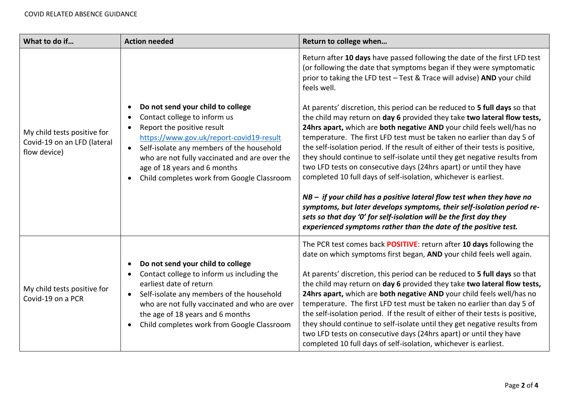| What to do if                                                              | <b>Action needed</b>                                                                                                                                                                                                                                                                                                                                        | Return to college when                                                                                                                                                                                                                                                                                                                                                                                                                                                                                                                                                                                                                                                                                                                                                                                                                                                                                          |
|----------------------------------------------------------------------------|-------------------------------------------------------------------------------------------------------------------------------------------------------------------------------------------------------------------------------------------------------------------------------------------------------------------------------------------------------------|-----------------------------------------------------------------------------------------------------------------------------------------------------------------------------------------------------------------------------------------------------------------------------------------------------------------------------------------------------------------------------------------------------------------------------------------------------------------------------------------------------------------------------------------------------------------------------------------------------------------------------------------------------------------------------------------------------------------------------------------------------------------------------------------------------------------------------------------------------------------------------------------------------------------|
| My child tests positive for<br>Covid-19 on an LFD (lateral<br>flow device) | Do not send your child to college<br>٠<br>Contact college to inform us<br>٠<br>Report the positive result<br>$\bullet$<br>https://www.gov.uk/report-covid19-result<br>Self-isolate any members of the household<br>who are not fully vaccinated and are over the<br>age of 18 years and 6 months<br>Child completes work from Google Classroom<br>$\bullet$ | Return after 10 days have passed following the date of the first LFD test<br>(or following the date that symptoms began if they were symptomatic<br>prior to taking the LFD test - Test & Trace will advise) AND your child<br>feels well.                                                                                                                                                                                                                                                                                                                                                                                                                                                                                                                                                                                                                                                                      |
|                                                                            |                                                                                                                                                                                                                                                                                                                                                             | At parents' discretion, this period can be reduced to 5 full days so that<br>the child may return on day 6 provided they take two lateral flow tests,<br>24hrs apart, which are both negative AND your child feels well/has no<br>temperature. The first LFD test must be taken no earlier than day 5 of<br>the self-isolation period. If the result of either of their tests is positive,<br>they should continue to self-isolate until they get negative results from<br>two LFD tests on consecutive days (24hrs apart) or until they have<br>completed 10 full days of self-isolation, whichever is earliest.<br>$NB - if$ your child has a positive lateral flow test when they have no<br>symptoms, but later develops symptoms, their self-isolation period re-<br>sets so that day '0' for self-isolation will be the first day they<br>experienced symptoms rather than the date of the positive test. |
| My child tests positive for<br>Covid-19 on a PCR                           | Do not send your child to college<br>٠<br>Contact college to inform us including the<br>$\bullet$<br>earliest date of return<br>Self-isolate any members of the household<br>$\bullet$<br>who are not fully vaccinated and who are over<br>the age of 18 years and 6 months<br>Child completes work from Google Classroom<br>$\bullet$                      | The PCR test comes back POSITIVE: return after 10 days following the<br>date on which symptoms first began, AND your child feels well again.<br>At parents' discretion, this period can be reduced to 5 full days so that<br>the child may return on day 6 provided they take two lateral flow tests,<br>24hrs apart, which are both negative AND your child feels well/has no<br>temperature. The first LFD test must be taken no earlier than day 5 of<br>the self-isolation period. If the result of either of their tests is positive,<br>they should continue to self-isolate until they get negative results from<br>two LFD tests on consecutive days (24hrs apart) or until they have<br>completed 10 full days of self-isolation, whichever is earliest.                                                                                                                                               |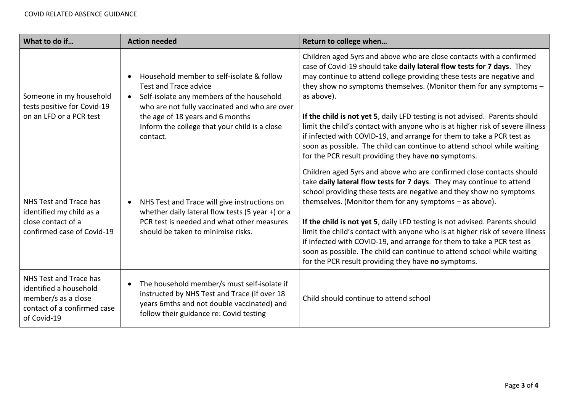| What to do if                                                                                                         | <b>Action needed</b>                                                                                                                                                                                                                                                           | Return to college when                                                                                                                                                                                                                                                                                                                                                                                                                                                                                                                                                                                                                                                                 |
|-----------------------------------------------------------------------------------------------------------------------|--------------------------------------------------------------------------------------------------------------------------------------------------------------------------------------------------------------------------------------------------------------------------------|----------------------------------------------------------------------------------------------------------------------------------------------------------------------------------------------------------------------------------------------------------------------------------------------------------------------------------------------------------------------------------------------------------------------------------------------------------------------------------------------------------------------------------------------------------------------------------------------------------------------------------------------------------------------------------------|
| Someone in my household<br>tests positive for Covid-19<br>on an LFD or a PCR test                                     | Household member to self-isolate & follow<br>Test and Trace advice<br>Self-isolate any members of the household<br>$\bullet$<br>who are not fully vaccinated and who are over<br>the age of 18 years and 6 months<br>Inform the college that your child is a close<br>contact. | Children aged 5yrs and above who are close contacts with a confirmed<br>case of Covid-19 should take daily lateral flow tests for 7 days. They<br>may continue to attend college providing these tests are negative and<br>they show no symptoms themselves. (Monitor them for any symptoms -<br>as above).<br>If the child is not yet 5, daily LFD testing is not advised. Parents should<br>limit the child's contact with anyone who is at higher risk of severe illness<br>if infected with COVID-19, and arrange for them to take a PCR test as<br>soon as possible. The child can continue to attend school while waiting<br>for the PCR result providing they have no symptoms. |
| NHS Test and Trace has<br>identified my child as a<br>close contact of a<br>confirmed case of Covid-19                | NHS Test and Trace will give instructions on<br>$\bullet$<br>whether daily lateral flow tests (5 year +) or a<br>PCR test is needed and what other measures<br>should be taken to minimise risks.                                                                              | Children aged 5yrs and above who are confirmed close contacts should<br>take daily lateral flow tests for 7 days. They may continue to attend<br>school providing these tests are negative and they show no symptoms<br>themselves. (Monitor them for any symptoms - as above).<br>If the child is not yet 5, daily LFD testing is not advised. Parents should<br>limit the child's contact with anyone who is at higher risk of severe illness<br>if infected with COVID-19, and arrange for them to take a PCR test as<br>soon as possible. The child can continue to attend school while waiting<br>for the PCR result providing they have no symptoms.                             |
| NHS Test and Trace has<br>identified a household<br>member/s as a close<br>contact of a confirmed case<br>of Covid-19 | The household member/s must self-isolate if<br>$\bullet$<br>instructed by NHS Test and Trace (if over 18<br>years 6mths and not double vaccinated) and<br>follow their guidance re: Covid testing                                                                              | Child should continue to attend school                                                                                                                                                                                                                                                                                                                                                                                                                                                                                                                                                                                                                                                 |